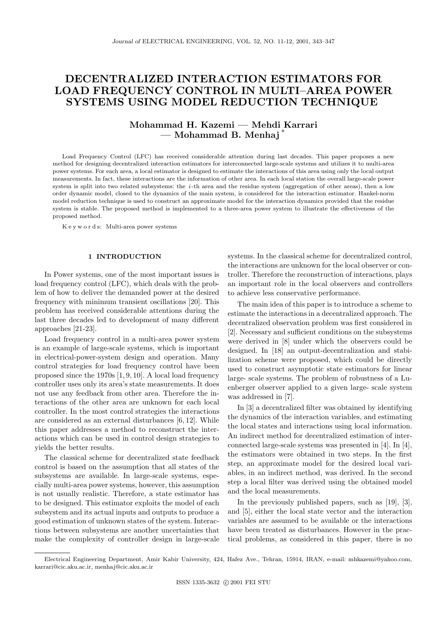# **DECENTRALIZED INTERACTION ESTIMATORS FOR LOAD FREQUENCY CONTROL IN MULTI–AREA POWER SYSTEMS USING MODEL REDUCTION TECHNIQUE**

# **Mohammad H. Kazemi — Mehdi Karrari — Mohammad B. Menhaj** ∗

Load Frequency Control (LFC) has received considerable attention during last decades. This paper proposes a new method for designing decentralized interaction estimators for interconnected large-scale systems and utilizes it to multi-area power systems. For each area, a local estimator is designed to estimate the interactions of this area using only the local output measurements. In fact, these interactions are the information of other area. In each local station the overall large-scale power system is split into two related subsystems: the *i*-th area and the residue system (aggregation of other areas), then a low order dynamic model, closed to the dynamics of the main system, is considered for the interaction estimator. Hankel-norm model reduction technique is used to construct an approximate model for the interaction dynamics provided that the residue system is stable. The proposed method is implemented to a three-area power system to illustrate the effectiveness of the proposed method.

K e y w o r d s: Multi-area power systems

## **1 INTRODUCTION**

In Power systems, one of the most important issues is load frequency control (LFC), which deals with the problem of how to deliver the demanded power at the desired frequency with minimum transient oscillations [20]. This problem has received considerable attentions during the last three decades led to development of many different approaches [21-23].

Load frequency control in a multi-area power system is an example of large-scale systems, which is important in electrical-power-system design and operation. Many control strategies for load frequency control have been proposed since the 1970s [1, 9, 10]. A local load frequency controller uses only its area's state measurements. It does not use any feedback from other area. Therefore the interactions of the other area are unknown for each local controller. In the most control strategies the interactions are considered as an external disturbances [6, 12]. While this paper addresses a method to reconstruct the interactions which can be used in control design strategies to yields the better results.

The classical scheme for decentralized state feedback control is based on the assumption that all states of the subsystems are available. In large-scale systems, especially multi-area power systems, however, this assumption is not usually realistic. Therefore, a state estimator has to be designed. This estimator exploits the model of each subsystem and its actual inputs and outputs to produce a good estimation of unknown states of the system. Interactions between subsystems are another uncertainties that make the complexity of controller design in large-scale systems. In the classical scheme for decentralized control, the interactions are unknown for the local observer or controller. Therefore the reconstruction of interactions, plays an important role in the local observers and controllers to achieve less conservative performance.

The main idea of this paper is to introduce a scheme to estimate the interactions in a decentralized approach. The decentralized observation problem was first considered in [2]. Necessary and sufficient conditions on the subsystems were derived in [8] under which the observers could be designed. In [18] an output-decentralization and stabilization scheme were proposed, which could be directly used to construct asymptotic state estimators for linear large- scale systems. The problem of robustness of a Luenberger observer applied to a given large- scale system was addressed in [7].

In [3] a decentralized filter was obtained by identifying the dynamics of the interaction variables, and estimating the local states and interactions using local information. An indirect method for decentralized estimation of interconnected large-scale systems was presented in [4]. In [4], the estimators were obtained in two steps. In the first step, an approximate model for the desired local variables, in an indirect method, was derived. In the second step a local filter was derived using the obtained model and the local measurements.

In the previously published papers, such as [19], [3], and [5], either the local state vector and the interaction variables are assumed to be available or the interactions have been treated as disturbances. However in the practical problems, as considered in this paper, there is no

Electrical Engineering Department, Amir Kabir University, 424, Hafez Ave., Tehran, 15914, IRAN, e-mail: mhkazemi@yahoo.com, karrari@cic.aku.ac.ir, menhaj@cic.aku.ac.ir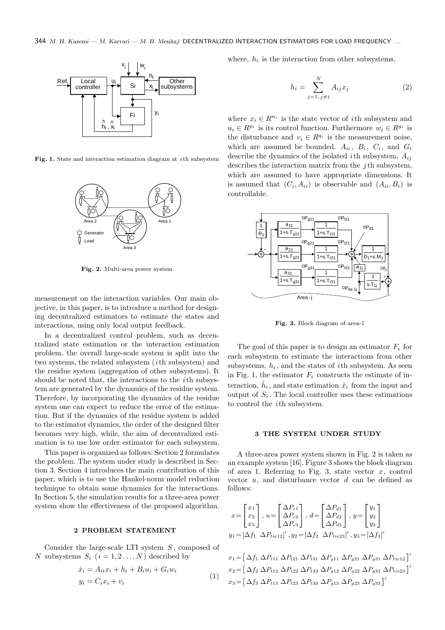

**Fig. 1.** State and interaction estimation diagram at *<sup>i</sup>* th subsystem



**Fig. 2.** Multi-area power system

measurement on the interaction variables. Our main objective, in this paper, is to introduce a method for designing decentralized estimators to estimate the states and interactions, using only local output feedback.

In a decentralized control problem, such as decentralized state estimation or the interaction estimation problem, the overall large-scale system is split into the two systems, the related subsystem (*i*th subsystem) and the residue system (aggregation of other subsystems). It should be noted that, the interactions to the *i*th subsystem are generated by the dynamics of the residue system. Therefore, by incorporating the dynamics of the residue system one can expect to reduce the error of the estimation. But if the dynamics of the residue system is added to the estimator dynamics, the order of the designed filter becomes very high, while, the aim of decentralized estimation is to use low order estimator for each subsystem.

This paper is organized as follows: Section 2 formulates the problem. The system under study is described in Section 3. Section 4 introduces the main contribution of this paper, which is to use the Hankel-norm model reduction technique to obtain some dynamics for the interactions. In Section 5, the simulation results for a three-area power system show the effectiveness of the proposed algorithm.

# **2 PROBLEM STATEMENT**

Consider the large-scale LTI system *S* , composed of *N* subsystems  $S_i$   $(i = 1, 2, ..., N)$  described by

$$
\begin{aligned} \dot{x}_i &= A_{ii}x_i + h_i + B_i u_i + G_i w_i \\ y_i &= C_i x_i + v_i \end{aligned} \tag{1}
$$

where,  $h_i$  is the interaction from other subsystems,

$$
h_i = \sum_{j=1, j \neq i}^{N} A_{ij} x_j \tag{2}
$$

where  $x_i \in R^{n_i}$  is the state vector of *i*th subsystem and  $u_i \in R^{p_i}$  is its control function. Furthermore  $w_i \in R^{g_i}$  is the disturbance and  $v_i \in R^{q_i}$  is the measurement noise, which are assumed be bounded.  $A_{ii}$ ,  $B_i$ ,  $C_i$ , and  $G_i$ describe the dynamics of the isolated *<sup>i</sup>*th subsystem, *<sup>A</sup>ij* describes the interaction matrix from the *j* th subsystem, which are assumed to have appropriate dimensions. It is assumed that  $(C_i, A_{ii})$  is observable and  $(A_{ii}, B_i)$  is controllable.



**Fig. 3.** Block diagram of area-1

The goal of this paper is to design an estimator  $F_i$  for each subsystem to estimate the interactions from other subsystems,  $h_i$ , and the states of *i*th subsystem. As seen in Fig. 1, the estimator  $F_i$  constructs the estimate of interaction,  $\hat{h}_i$ , and state estimation  $\hat{x}_i$  from the input and output of  $S_i$ . The local controller uses these estimations to control the *i*th subsystem.

#### **3 THE SYSTEM UNDER STUDY**

A three-area power system shown in Fig. 2 is taken as an example system [16]. Figure 3 shows the block diagram of area 1. Referring to Fig. 3, state vector *x*, control vector *u*, and disturbance vector *d* can be defined as follows:

$$
x = \begin{bmatrix} x_1 \\ x_2 \\ x_3 \end{bmatrix}, u = \begin{bmatrix} \Delta P_{c1} \\ \Delta P_{c2} \\ \Delta P_{c3} \end{bmatrix}, d = \begin{bmatrix} \Delta P_{d1} \\ \Delta P_{d2} \\ \Delta P_{d3} \end{bmatrix}, y = \begin{bmatrix} y_1 \\ y_2 \\ y_3 \end{bmatrix}
$$

$$
y_1 = [\Delta f_1 \ \Delta P_{tie12}]', y_2 = [\Delta f_2 \ \Delta P_{tie23}]', y_3 = [\Delta f_3]'
$$

$$
x_1 = [\Delta f_1 \ \Delta P_{t11} \ \Delta P_{t21} \ \Delta P_{t31} \ \Delta P_{g11} \ \Delta P_{g21} \ \Delta P_{g31} \ \Delta P_{tie12}]'
$$
  
\n
$$
x_2 = [\Delta f_2 \ \Delta P_{t12} \ \Delta P_{t22} \ \Delta P_{t32} \ \Delta P_{g12} \ \Delta P_{g22} \ \Delta P_{g32} \ \Delta P_{tie23}]'
$$
  
\n
$$
x_3 = [\Delta f_3 \ \Delta P_{t13} \ \Delta P_{t23} \ \Delta P_{t33} \ \Delta P_{g13} \ \Delta P_{g23} \ \Delta P_{g33}]'
$$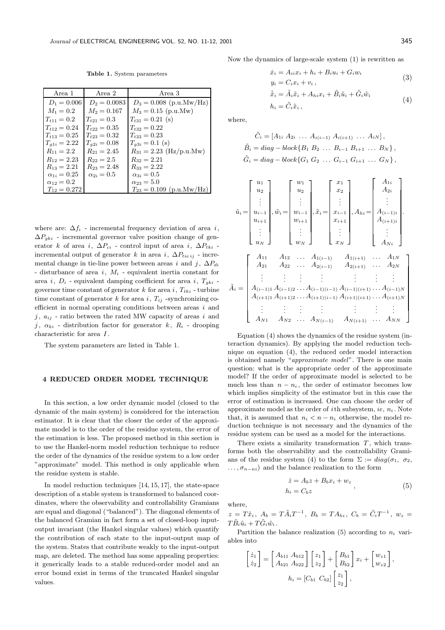**Table 1.** System parameters

| Area 1              | Area 2            | Area 3                       |
|---------------------|-------------------|------------------------------|
| $D_1 = 0.006$       | $D_2 = 0.0083$    | $D_3 = 0.008$ (p.u.Mw/Hz)    |
| $M_1 = 0.2$         | $M_2 = 0.167$     | $M_3 = 0.15$ (p.u.Mw)        |
| $T_{t11} = 0.2$     | $T_{t21} = 0.3$   | $T_{t31} = 0.21$ (s)         |
| $T_{t12} = 0.24$    | $T_{t22} = 0.35$  | $T_{132} = 0.22$             |
| $T_{t13} = 0.25$    | $T_{t23} = 0.32$  | $T_{t33} = 0.23$             |
| $T_{q1i} = 2.22$    | $T_{q2i} = 0.08$  | $T_{a3i} = 0.1$ (s)          |
| $R_{11} = 2.2$      | $R_{21} = 2.45$   | $R_{31} = 2.23$ (Hz/p.u.Mw)  |
| $R_{12} = 2.23$     | $R_{22} = 2.5$    | $R_{32} = 2.21$              |
| $R_{13} = 2.21$     | $R_{23} = 2.48$   | $R_{33} = 2.22$              |
| $\alpha_{1i}=0.25$  | $\alpha_{2i}=0.5$ | $\alpha_{3i}=0.5$            |
| $\alpha_{12} = 0.2$ |                   | $\alpha_{23} = 5.0$          |
| $T_{12} = 0.272$    |                   | $T_{23} = 0.109$ (p.u.Mw/Hz) |

where are:  $\Delta f_i$  - incremental frequency deviation of area *i*,  $\Delta P_{qki}$  - incremental governor valve position change of generator k of area i,  $\Delta P_{ci}$  - control input of area i,  $\Delta P_{tki}$  incremental output of generator k in area i,  $\Delta P_{tie\ ij}$  - incremental change in tie-line power between areas i and j,  $\Delta P_{di}$ - disturbance of area i, M*<sup>i</sup>* - equivalent inertia constant for area i,  $D_i$  - equivalent damping coefficient for area i,  $T_{aki}$  governor time constant of generator  $k$  for area  $i$ ,  $T_{tki}$  - turbine time constant of generator k for area i,  $T_{ij}$  -synchronizing coefficient in normal operating conditions between areas  $i$  and  $j, a_{ij}$  - ratio between the rated MW capacity of areas i and j,  $\alpha_{ki}$  - distribution factor for generator k,  $R_i$  - drooping characteristic for area I .

The system parameters are listed in Table 1.

#### **4 REDUCED ORDER MODEL TECHNIQUE**

In this section, a low order dynamic model (closed to the dynamic of the main system) is considered for the interaction estimator. It is clear that the closer the order of the approximate model is to the order of the residue system, the error of the estimation is less. The proposed method in this section is to use the Hankel-norm model reduction technique to reduce the order of the dynamics of the residue system to a low order "approximate" model. This method is only applicable when the residue system is stable.

In model reduction techniques [14, 15, 17], the state-space description of a stable system is transformed to balanced coordinates, where the observability and controllability Gramians are equal and diagonal ("balanced"). The diagonal elements of the balanced Gramian in fact form a set of closed-loop inputoutput invariant (the Hankel singular values) which quantify the contribution of each state to the input-output map of the system. States that contribute weakly to the input-output map, are deleted. The method has some appealing properties: it generically leads to a stable reduced-order model and an error bound exist in terms of the truncated Hankel singular values.

Now the dynamics of large-scale system (1) is rewritten as

$$
\begin{aligned} \dot{x}_i &= A_{ii}x_i + h_i + B_i u_i + G_i w_i \\ y_i &= C_i x_i + v_i \,, \end{aligned} \tag{3}
$$

$$
\dot{\tilde{x}}_i = \tilde{A}_i \tilde{x}_i + A_{hi} x_i + \tilde{B}_i \tilde{u}_i + \tilde{G}_i \tilde{w}_i
$$
  
\n
$$
h_i = \tilde{C}_i \tilde{x}_i,
$$
\n(4)

where,

$$
\tilde{C}_i = [A_{1i} \ A_{2i} \ \dots \ A_{i(i-1)} \ A_{i(i+1)} \ \dots \ A_{iN}],
$$
  
\n
$$
\tilde{B}_i = diag - block\{B_1 \ B_2 \ \dots \ B_{i-1} \ B_{i+1} \ \dots \ B_N\},
$$
  
\n
$$
\tilde{G}_i = diag - block\{G_1 \ G_2 \ \dots \ G_{i-1} \ G_{i+1} \ \dots \ G_N\},
$$

$$
\tilde{u}_{i} = \begin{bmatrix} u_{1} \\ u_{2} \\ \vdots \\ u_{i-1} \\ u_{i+1} \\ \vdots \\ u_{N} \end{bmatrix}, \tilde{w}_{i} = \begin{bmatrix} w_{1} \\ w_{2} \\ \vdots \\ w_{i-1} \\ w_{i+1} \\ \vdots \\ w_{N} \end{bmatrix}, \tilde{x}_{i} = \begin{bmatrix} x_{1} \\ x_{2} \\ \vdots \\ x_{i-1} \\ x_{i+1} \\ \vdots \\ x_{N} \end{bmatrix}, A_{hi} = \begin{bmatrix} A_{1i} \\ A_{2i} \\ \vdots \\ A_{(i-1)i} \\ A_{(i+1)i} \\ \vdots \\ A_{Ni} \end{bmatrix}.
$$
\n
$$
\tilde{u}_{N} = \begin{bmatrix} A_{11} & A_{12} & \cdots & A_{1(i-1)} & A_{1(i+1)} & \cdots & A_{1N} \\ A_{21} & A_{22} & \cdots & A_{2(i-1)} & A_{2(i+1)} & \cdots & A_{2N} \\ \vdots & \vdots & \vdots & \vdots & \vdots & \vdots \\ A_{(i-1)1} A_{(i-1)2} & \cdots & A_{(i-1)(i-1)} A_{(i-1)(i+1)} & \cdots & A_{(i-1)N} \\ A_{(i+1)1} A_{(i+1)2} & \cdots & A_{(i+1)(i-1)} A_{(i+1)(i+1)} & \cdots & A_{(i+1)N} \\ \vdots & \vdots & \vdots & \vdots & \vdots & \vdots \\ A_{N1} & A_{N2} & \cdots & A_{N(i-1)} & A_{N(i+1)} & \cdots & A_{NN} \end{bmatrix}
$$

Equation (4) shows the dynamics of the residue system (interaction dynamics). By applying the model reduction technique on equation (4), the reduced order model interaction is obtained namely "*approximate model*". There is one main question: what is the appropriate order of the approximate model? If the order of approximate model is selected to be much less than  $n - n_i$ , the order of estimator becomes low which implies simplicity of the estimator but in this case the error of estimation is increased. One can choose the order of approximate model as the order of *i*th subsystem, *ie*,  $n_i$ . Note that, it is assumed that  $n_i < n - n_i$  otherwise, the model reduction technique is not necessary and the dynamics of the residue system can be used as a model for the interactions.

There exists a similarity transformation  $T$ , which transforms both the observability and the controllability Gramians of the residue system (4) to the form  $\Sigma := diag(\sigma_1, \sigma_2,$  $\ldots, \sigma_{n-ni}$  and the balance realization to the form

$$
\dot{z} = A_b z + B_b x_i + w_z
$$
\n
$$
h_i = C_b z \tag{5}
$$

where,

$$
z = T\tilde{x}_i, A_b = T\tilde{A}_i T^{-1}, B_b = T A_{hi}, C_b = \tilde{C}_i T^{-1}, w_z = T\tilde{B}_i \tilde{u}_i + T\tilde{G}_i \tilde{w}_i.
$$

Partition the balance realization  $(5)$  according to  $n_i$  variables into

$$
\begin{bmatrix} \dot{z}_1 \\ \dot{z}_2 \end{bmatrix} = \begin{bmatrix} A_{b11} A_{b12} \\ A_{b21} A_{b22} \end{bmatrix} \begin{bmatrix} z_1 \\ z_2 \end{bmatrix} + \begin{bmatrix} B_{b1} \\ B_{b2} \end{bmatrix} x_i + \begin{bmatrix} w_{z1} \\ w_{z2} \end{bmatrix},
$$

$$
h_i = \begin{bmatrix} C_{b1} & C_{b2} \end{bmatrix} \begin{bmatrix} z_1 \\ z_2 \end{bmatrix},
$$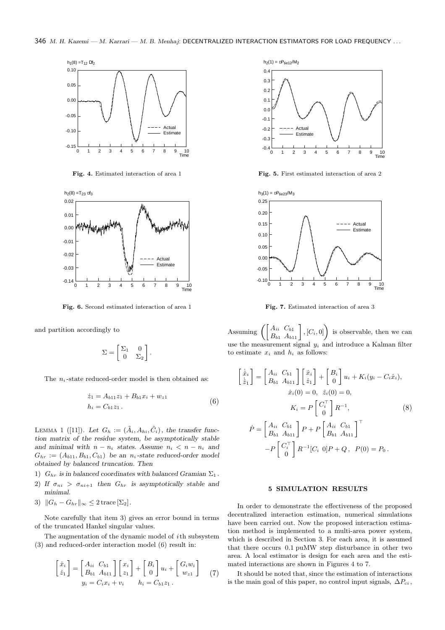

**Fig. 4.** Estimated interaction of area 1



**Fig. 6.** Second estimated interaction of area 1

and partition accordingly to

$$
\Sigma = \begin{bmatrix} \Sigma_1 & 0 \\ 0 & \Sigma_2 \end{bmatrix}.
$$

The  $n_i$ -state reduced-order model is then obtained as:

$$
\begin{aligned} \dot{z}_1 &= A_{b11}z_1 + B_{b1}x_i + w_{z1} \\ h_i &= C_{b1}z_1 \,. \end{aligned} \tag{6}
$$

LEMMA 1 ([11]). Let  $G_h := (\tilde{A}_i, A_{hi}, \tilde{C}_i)$ , the transfer func*tion matrix of the residue system, be asymptotically stable and minimal with*  $n - n_i$  *states. Assume*  $n_i < n - n_i$  *and*  $G_{hr} := (A_{b11}, B_{b1}, C_{b1})$  be an  $n_i$ -state reduced-order model *obtained by balanced truncation. Then*

- 1)  $G_{hr}$  *is in balanced coordinates with balanced Gramian*  $\Sigma_1$ *.*
- 2) If  $\sigma_{ni} > \sigma_{ni+1}$  then  $G_{hr}$  is asymptotically stable and *minimal.*
- 3)  $||G_h G_{hr}||_{\infty} \leq 2 \operatorname{trace}[\Sigma_2].$

Note carefully that item 3) gives an error bound in terms of the truncated Hankel singular values.

The augmentation of the dynamic model of  $i$ th subsystem (3) and reduced-order interaction model (6) result in:

$$
\begin{bmatrix} \dot{x}_i \\ \dot{z}_1 \end{bmatrix} = \begin{bmatrix} A_{ii} & C_{b1} \\ B_{b1} & A_{b11} \end{bmatrix} \begin{bmatrix} x_i \\ z_1 \end{bmatrix} + \begin{bmatrix} B_i \\ 0 \end{bmatrix} u_i + \begin{bmatrix} G_i w_i \\ w_{z1} \end{bmatrix} \tag{7}
$$
\n
$$
y_i = C_i x_i + v_i \qquad h_i = C_{b1} z_1 \, .
$$



**Fig. 5.** First estimated interaction of area 2



**Fig. 7.** Estimated interaction of area 3

Assuming  $\left( \begin{bmatrix} A_{ii} & C_{b1} \\ B_{b1} & A_{b11} \end{bmatrix}, [C_i, 0] \right)$  is observable, then we can use the measurement signal y*<sup>i</sup>* and introduce a Kalman filter to estimate  $x_i$  and  $h_i$  as follows:

$$
\begin{aligned}\n\begin{bmatrix}\n\dot{\hat{x}}_i \\
\dot{\hat{z}}_1\n\end{bmatrix} &= \begin{bmatrix}\nA_{ii} & C_{b1} \\
B_{b1} & A_{b11}\n\end{bmatrix} \begin{bmatrix}\n\hat{x}_i \\
\hat{z}_1\n\end{bmatrix} + \begin{bmatrix}\nB_i \\
0\n\end{bmatrix} u_i + K_i (y_i - C_i \hat{x}_i), \\
\hat{x}_i(0) &= 0, \quad \hat{z}_i(0) = 0, \\
K_i &= P \begin{bmatrix} C_i^\top \\
0 \end{bmatrix} R^{-1}, \\
\dot{P} &= \begin{bmatrix} A_{ii} & C_{b1} \\
B_{b1} & A_{b11}\n\end{bmatrix} P + P \begin{bmatrix} A_{ii} & C_{b1} \\
B_{b1} & A_{b11}\n\end{bmatrix}^\top \\
-P \begin{bmatrix} C_i^\top \\
0 \end{bmatrix} R^{-1} [C_i \quad 0] P + Q, \quad P(0) = P_0.\n\end{aligned}
$$

#### **5 SIMULATION RESULTS**

 mated interactions are shown in Figures 4 to 7. In order to demonstrate the effectiveness of the proposed decentralized interaction estimation, numerical simulations have been carried out. Now the proposed interaction estimation method is implemented to a multi-area power system, which is described in Section 3. For each area, it is assumed that there occurs 0.1 puMW step disturbance in other two area. A local estimator is design for each area and the esti-

It should be noted that, since the estimation of interactions is the main goal of this paper, no control input signals,  $\Delta P_{ci}$ ,